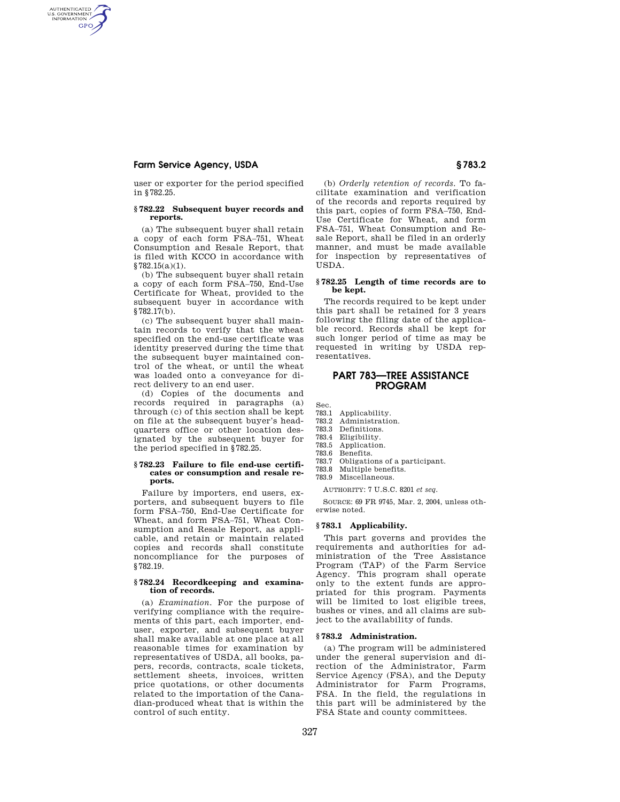# **Farm Service Agency, USDA § 783.2**

AUTHENTICATED<br>U.S. GOVERNMENT<br>INFORMATION **GPO** 

> user or exporter for the period specified in §782.25.

## **§ 782.22 Subsequent buyer records and reports.**

(a) The subsequent buyer shall retain a copy of each form FSA–751, Wheat Consumption and Resale Report, that is filed with KCCO in accordance with §782.15(a)(1).

(b) The subsequent buyer shall retain a copy of each form FSA–750, End-Use Certificate for Wheat, provided to the subsequent buyer in accordance with §782.17(b).

(c) The subsequent buyer shall maintain records to verify that the wheat specified on the end-use certificate was identity preserved during the time that the subsequent buyer maintained control of the wheat, or until the wheat was loaded onto a conveyance for direct delivery to an end user.

(d) Copies of the documents and records required in paragraphs (a) through (c) of this section shall be kept on file at the subsequent buyer's headquarters office or other location designated by the subsequent buyer for the period specified in §782.25.

#### **§ 782.23 Failure to file end-use certificates or consumption and resale reports.**

Failure by importers, end users, exporters, and subsequent buyers to file form FSA–750, End-Use Certificate for Wheat, and form FSA–751, Wheat Consumption and Resale Report, as applicable, and retain or maintain related copies and records shall constitute noncompliance for the purposes of §782.19.

## **§ 782.24 Recordkeeping and examination of records.**

(a) *Examination.* For the purpose of verifying compliance with the requirements of this part, each importer, enduser, exporter, and subsequent buyer shall make available at one place at all reasonable times for examination by representatives of USDA, all books, papers, records, contracts, scale tickets, settlement sheets, invoices, written price quotations, or other documents related to the importation of the Canadian-produced wheat that is within the control of such entity.

(b) *Orderly retention of records.* To facilitate examination and verification of the records and reports required by this part, copies of form FSA–750, End-Use Certificate for Wheat, and form FSA–751, Wheat Consumption and Resale Report, shall be filed in an orderly manner, and must be made available for inspection by representatives of USDA.

## **§ 782.25 Length of time records are to be kept.**

The records required to be kept under this part shall be retained for 3 years following the filing date of the applicable record. Records shall be kept for such longer period of time as may be requested in writing by USDA representatives.

# **PART 783—TREE ASSISTANCE PROGRAM**

Sec.

- 783.1 Applicability.
- 783.2 Administration. 783.3 Definitions.
- 
- 783.4 Eligibility. Application.
- 783.6 Benefits.
- 783.7 Obligations of a participant.
- 783.8 Multiple benefits.
- 783.9 Miscellaneous.

AUTHORITY: 7 U.S.C. 8201 *et seq.* 

SOURCE: 69 FR 9745, Mar. 2, 2004, unless otherwise noted.

## **§ 783.1 Applicability.**

This part governs and provides the requirements and authorities for administration of the Tree Assistance Program (TAP) of the Farm Service Agency. This program shall operate only to the extent funds are appropriated for this program. Payments will be limited to lost eligible trees, bushes or vines, and all claims are subject to the availability of funds.

## **§ 783.2 Administration.**

(a) The program will be administered under the general supervision and direction of the Administrator, Farm Service Agency (FSA), and the Deputy Administrator for Farm Programs, FSA. In the field, the regulations in this part will be administered by the FSA State and county committees.